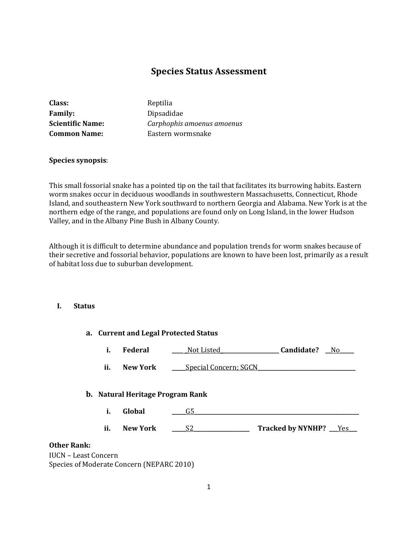# **Species Status Assessment**

| <b>Class:</b>           | Reptilia                   |
|-------------------------|----------------------------|
| <b>Family:</b>          | Dipsadidae                 |
| <b>Scientific Name:</b> | Carphophis amoenus amoenus |
| <b>Common Name:</b>     | Eastern wormsnake          |
|                         |                            |

### **Species synopsis**:

This small fossorial snake has a pointed tip on the tail that facilitates its burrowing habits. Eastern worm snakes occur in deciduous woodlands in southwestern Massachusetts, Connecticut, Rhode Island, and southeastern New York southward to northern Georgia and Alabama. New York is at the northern edge of the range, and populations are found only on Long Island, in the lower Hudson Valley, and in the Albany Pine Bush in Albany County.

Although it is difficult to determine abundance and population trends for worm snakes because of their secretive and fossorial behavior, populations are known to have been lost, primarily as a result of habitat loss due to suburban development.

## **I. Status**

|                                           | a. Current and Legal Protected Status |                                         |                              |                          |
|-------------------------------------------|---------------------------------------|-----------------------------------------|------------------------------|--------------------------|
|                                           | i.                                    | Federal                                 | Not Listed                   | Candidate?<br>No.        |
|                                           | ii.                                   | <b>New York</b>                         | <b>Special Concern; SGCN</b> |                          |
|                                           |                                       | <b>b.</b> Natural Heritage Program Rank |                              |                          |
|                                           | i.                                    | Global                                  | G5                           |                          |
|                                           | ii.                                   | <b>New York</b>                         | S2                           | Tracked by NYNHP? __ Yes |
| <b>Other Rank:</b>                        |                                       |                                         |                              |                          |
| <b>IUCN - Least Concern</b>               |                                       |                                         |                              |                          |
| Species of Moderate Concern (NEPARC 2010) |                                       |                                         |                              |                          |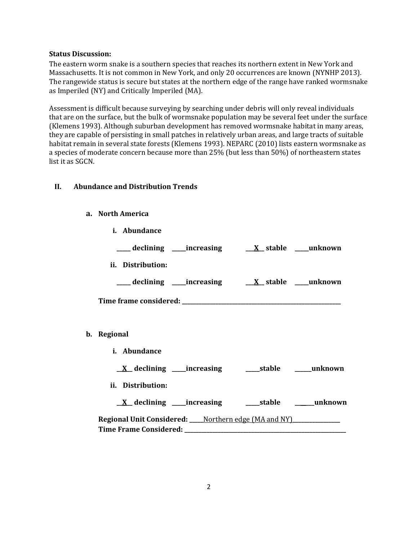### **Status Discussion:**

The eastern worm snake is a southern species that reaches its northern extent in New York and Massachusetts. It is not common in New York, and only 20 occurrences are known (NYNHP 2013). The rangewide status is secure but states at the northern edge of the range have ranked wormsnake as Imperiled (NY) and Critically Imperiled (MA).

Assessment is difficult because surveying by searching under debris will only reveal individuals that are on the surface, but the bulk of wormsnake population may be several feet under the surface (Klemens 1993). Although suburban development has removed wormsnake habitat in many areas, they are capable of persisting in small patches in relatively urban areas, and large tracts of suitable habitat remain in several state forests (Klemens 1993). NEPARC (2010) lists eastern wormsnake as a species of moderate concern because more than 25% (but less than 50%) of northeastern states list it as SGCN.

# **II. Abundance and Distribution Trends**

### **a. North America**

**i. Abundance \_\_\_\_\_ declining \_\_\_\_\_increasing \_\_\_X\_\_ stable \_\_\_\_\_unknown ii. Distribution: \_\_\_\_\_ declining \_\_\_\_\_increasing \_\_\_X\_\_ stable \_\_\_\_\_unknown Time frame considered: \_\_\_\_\_\_\_\_\_\_\_\_\_\_\_\_\_\_\_\_\_\_\_\_\_\_\_\_\_\_\_\_\_\_\_\_\_\_\_\_\_\_\_\_\_\_\_\_\_\_\_\_\_\_\_\_\_ b. Regional i. Abundance \_\_X\_\_ declining \_\_\_\_\_increasing \_\_\_\_\_stable \_\_\_\_\_\_unknown ii. Distribution: \_\_X\_\_ declining \_\_\_\_\_increasing \_\_\_\_\_stable \_\_\_\_\_\_\_unknown Regional Unit Considered: \_\_\_\_\_**Northern edge (MA and NY)**\_\_\_\_\_\_\_\_\_\_\_\_\_\_\_\_\_ Time Frame Considered: \_\_\_\_\_\_\_\_\_\_\_\_\_\_\_\_\_\_\_\_\_\_\_\_\_\_\_\_\_\_\_\_\_\_\_\_\_\_\_\_\_\_\_\_\_\_\_\_\_\_\_\_\_\_\_\_\_\_**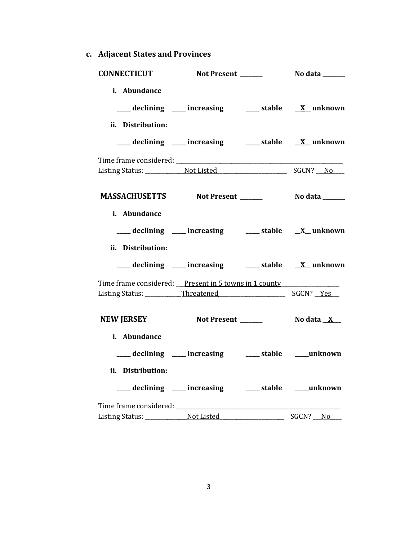**c. Adjacent States and Provinces**

| CONNECTICUT Not Present ______                        |                                                       | No data _______       |
|-------------------------------------------------------|-------------------------------------------------------|-----------------------|
| i. Abundance                                          | ___ declining ___ increasing ___ stable __ X_unknown  |                       |
| ii. Distribution:                                     | ___ declining ___ increasing ___ stable __ X_unknown  |                       |
|                                                       |                                                       |                       |
| MASSACHUSETTS Not Present ______                      |                                                       | <b>No data</b> ______ |
| i. Abundance<br>ii. Distribution:                     | ___ declining ___ increasing ___ stable __ X_unknown  |                       |
|                                                       | ___ declining ___ increasing ___ stable __ X_ unknown |                       |
| Time frame considered: Present in 5 towns in 1 county |                                                       |                       |
| NEW JERSEY Not Present _______ No data X_             |                                                       |                       |
| i. Abundance                                          | ___ declining ___ increasing ___ stable ___ unknown   |                       |
| ii. Distribution:                                     | ___ declining ___ increasing ___ stable ___unknown    |                       |
|                                                       |                                                       | SGCN? No              |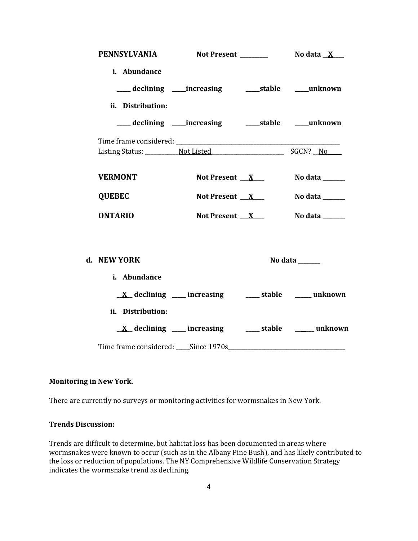| PENNSYLVANIA                       |                                                                      |                |
|------------------------------------|----------------------------------------------------------------------|----------------|
| i. Abundance<br>ii. Distribution:  | ___ declining ____increasing ______stable ____unknown                |                |
|                                    | ___ declining ____increasing ______stable ____unknown                |                |
|                                    |                                                                      |                |
| <b>VERMONT</b>                     | Not Present $X$                                                      | No data ______ |
| <b>QUEBEC</b>                      | Not Present $X$                                                      | No data ______ |
| <b>ONTARIO</b>                     | Not Present $X$                                                      | No data ______ |
| d. NEW YORK                        |                                                                      | No data ______ |
| i. Abundance                       |                                                                      |                |
|                                    | $\underline{X}$ declining ____ increasing _____ stable _____ unknown |                |
| ii. Distribution:                  |                                                                      |                |
|                                    | $\underline{X}$ declining ___ increasing ____ stable ____ unknown    |                |
| Time frame considered: Since 1970s |                                                                      |                |

# **Monitoring in New York.**

There are currently no surveys or monitoring activities for wormsnakes in New York.

#### **Trends Discussion:**

Trends are difficult to determine, but habitat loss has been documented in areas where wormsnakes were known to occur (such as in the Albany Pine Bush), and has likely contributed to the loss or reduction of populations. The NY Comprehensive Wildlife Conservation Strategy indicates the wormsnake trend as declining.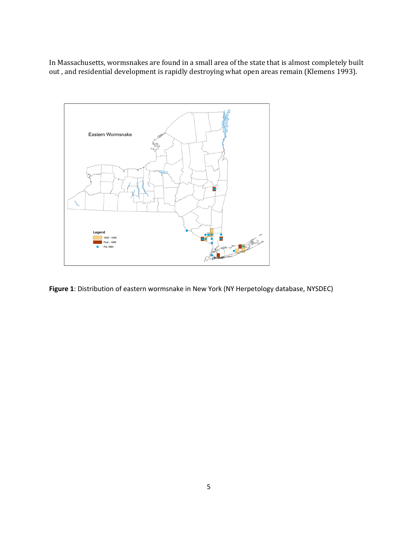In Massachusetts, wormsnakes are found in a small area of the state that is almost completely built out , and residential development is rapidly destroying what open areas remain (Klemens 1993).



**Figure 1**: Distribution of eastern wormsnake in New York (NY Herpetology database, NYSDEC)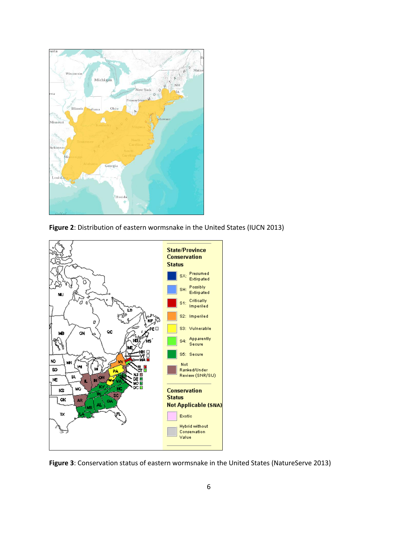

**Figure 2**: Distribution of eastern wormsnake in the United States (IUCN 2013)



**Figure 3**: Conservation status of eastern wormsnake in the United States (NatureServe 2013)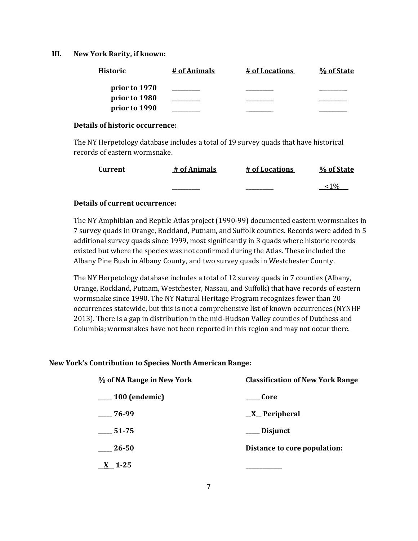### **III. New York Rarity, if known:**

| <b>Historic</b> | # of Animals | # of Locations | % of State |
|-----------------|--------------|----------------|------------|
| prior to 1970   |              |                |            |
| prior to 1980   |              |                |            |
| prior to 1990   |              |                |            |

### **Details of historic occurrence:**

The NY Herpetology database includes a total of 19 survey quads that have historical records of eastern wormsnake.

| <b>Current</b> | # of Animals | # of Locations | % of State |
|----------------|--------------|----------------|------------|
|                |              |                |            |

## **Details of current occurrence:**

The NY Amphibian and Reptile Atlas project (1990-99) documented eastern wormsnakes in 7 survey quads in Orange, Rockland, Putnam, and Suffolk counties. Records were added in 5 additional survey quads since 1999, most significantly in 3 quads where historic records existed but where the species was not confirmed during the Atlas. These included the Albany Pine Bush in Albany County, and two survey quads in Westchester County.

The NY Herpetology database includes a total of 12 survey quads in 7 counties (Albany, Orange, Rockland, Putnam, Westchester, Nassau, and Suffolk) that have records of eastern wormsnake since 1990. The NY Natural Heritage Program recognizes fewer than 20 occurrences statewide, but this is not a comprehensive list of known occurrences (NYNHP 2013). There is a gap in distribution in the mid-Hudson Valley counties of Dutchess and Columbia; wormsnakes have not been reported in this region and may not occur there.

## **New York's Contribution to Species North American Range:**

| % of NA Range in New York | <b>Classification of New York Range</b> |  |
|---------------------------|-----------------------------------------|--|
| $\frac{100}{2}$ (endemic) | <b>Core</b>                             |  |
| $-76-99$                  | $\underline{X}$ Peripheral              |  |
| $-51-75$                  | ___ Disjunct                            |  |
| $\frac{26-50}{2}$         | Distance to core population:            |  |
| $\underline{X}$ 1-25      |                                         |  |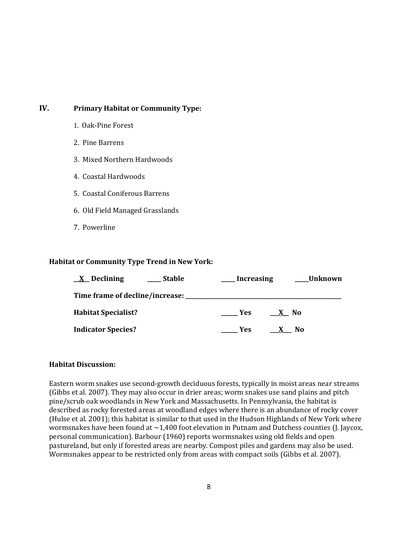# **IV. Primary Habitat or Community Type:**

- 1. Oak-Pine Forest
- 2. Pine Barrens
- 3. Mixed Northern Hardwoods
- 4. Coastal Hardwoods
- 5. Coastal Coniferous Barrens
- 6. Old Field Managed Grasslands
- 7. Powerline

# **Habitat or Community Type Trend in New York:**

| $\underline{X}$ Declining<br><b>Stable</b> | <b>Increasing</b> | Unknown |
|--------------------------------------------|-------------------|---------|
|                                            |                   |         |
| <b>Habitat Specialist?</b>                 | Yes.              | X No    |
| <b>Indicator Species?</b>                  | Yes:              | No      |

# **Habitat Discussion:**

Eastern worm snakes use second-growth deciduous forests, typically in moist areas near streams (Gibbs et al. 2007). They may also occur in drier areas; worm snakes use sand plains and pitch pine/scrub oak woodlands in New York and Massachusetts. In Pennsylvania, the habitat is described as rocky forested areas at woodland edges where there is an abundance of rocky cover (Hulse et al. 2001); this habitat is similar to that used in the Hudson Highlands of New York where wormsnakes have been found at ~1,400 foot elevation in Putnam and Dutchess counties (J. Jaycox, personal communication). Barbour (1960) reports wormsnakes using old fields and open pastureland, but only if forested areas are nearby. Compost piles and gardens may also be used. Wormsnakes appear to be restricted only from areas with compact soils (Gibbs et al. 2007).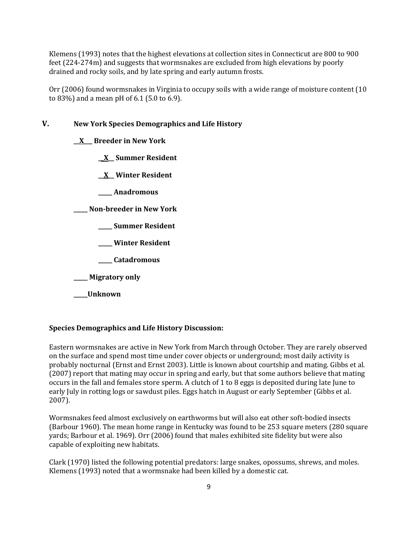Klemens (1993) notes that the highest elevations at collection sites in Connecticut are 800 to 900 feet (224-274m) and suggests that wormsnakes are excluded from high elevations by poorly drained and rocky soils, and by late spring and early autumn frosts.

Orr (2006) found wormsnakes in Virginia to occupy soils with a wide range of moisture content (10 to 83%) and a mean pH of 6.1 (5.0 to 6.9).

# **V. New York Species Demographics and Life History**

**\_\_X\_\_\_ Breeder in New York**

**\_\_X\_\_ Summer Resident**

**\_\_X\_\_ Winter Resident**

**\_\_\_\_\_ Anadromous**

**\_\_\_\_\_ Non-breeder in New York**

**\_\_\_\_\_ Summer Resident**

**\_\_\_\_\_ Winter Resident**

**\_\_\_\_\_ Catadromous**

**\_\_\_\_\_ Migratory only**

**\_\_\_\_\_Unknown**

#### **Species Demographics and Life History Discussion:**

Eastern wormsnakes are active in New York from March through October. They are rarely observed on the surface and spend most time under cover objects or underground; most daily activity is probably nocturnal (Ernst and Ernst 2003). Little is known about courtship and mating. Gibbs et al. (2007) report that mating may occur in spring and early, but that some authors believe that mating occurs in the fall and females store sperm. A clutch of 1 to 8 eggs is deposited during late June to early July in rotting logs or sawdust piles. Eggs hatch in August or early September (Gibbs et al. 2007).

Wormsnakes feed almost exclusively on earthworms but will also eat other soft-bodied insects (Barbour 1960). The mean home range in Kentucky was found to be 253 square meters (280 square yards; Barbour et al. 1969). Orr (2006) found that males exhibited site fidelity but were also capable of exploiting new habitats.

Clark (1970) listed the following potential predators: large snakes, opossums, shrews, and moles. Klemens (1993) noted that a wormsnake had been killed by a domestic cat.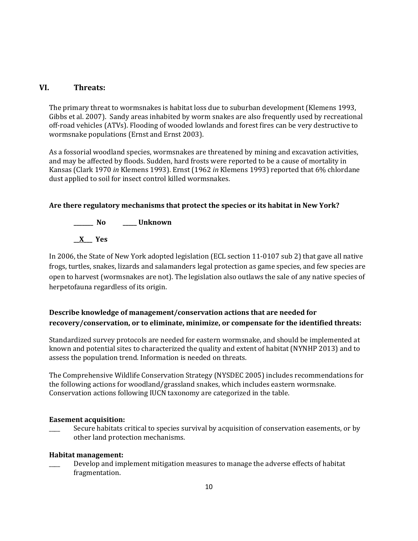# **VI. Threats:**

The primary threat to wormsnakes is habitat loss due to suburban development (Klemens 1993, Gibbs et al. 2007). Sandy areas inhabited by worm snakes are also frequently used by recreational off-road vehicles (ATVs). Flooding of wooded lowlands and forest fires can be very destructive to wormsnake populations (Ernst and Ernst 2003).

As a fossorial woodland species, wormsnakes are threatened by mining and excavation activities, and may be affected by floods. Sudden, hard frosts were reported to be a cause of mortality in Kansas (Clark 1970 *in* Klemens 1993). Ernst (1962 *in* Klemens 1993) reported that 6% chlordane dust applied to soil for insect control killed wormsnakes.

# **Are there regulatory mechanisms that protect the species or its habitat in New York?**

**\_\_\_\_\_\_\_ No \_\_\_\_\_ Unknown \_\_X\_\_\_ Yes** 

In 2006, the State of New York adopted legislation (ECL section 11-0107 sub 2) that gave all native frogs, turtles, snakes, lizards and salamanders legal protection as game species, and few species are open to harvest (wormsnakes are not). The legislation also outlaws the sale of any native species of herpetofauna regardless of its origin.

# **Describe knowledge of management/conservation actions that are needed for recovery/conservation, or to eliminate, minimize, or compensate for the identified threats:**

Standardized survey protocols are needed for eastern wormsnake, and should be implemented at known and potential sites to characterized the quality and extent of habitat (NYNHP 2013) and to assess the population trend. Information is needed on threats.

The Comprehensive Wildlife Conservation Strategy (NYSDEC 2005) includes recommendations for the following actions for woodland/grassland snakes, which includes eastern wormsnake. Conservation actions following IUCN taxonomy are categorized in the table.

## **Easement acquisition:**

Secure habitats critical to species survival by acquisition of conservation easements, or by other land protection mechanisms.

# **Habitat management:**

Develop and implement mitigation measures to manage the adverse effects of habitat fragmentation.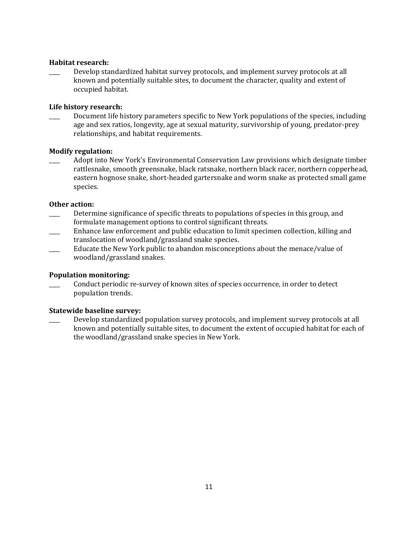### **Habitat research:**

Develop standardized habitat survey protocols, and implement survey protocols at all known and potentially suitable sites, to document the character, quality and extent of occupied habitat.

### **Life history research:**

Document life history parameters specific to New York populations of the species, including age and sex ratios, longevity, age at sexual maturity, survivorship of young, predator-prey relationships, and habitat requirements.

# **Modify regulation:**

\_\_\_\_ Adopt into New York's Environmental Conservation Law provisions which designate timber rattlesnake, smooth greensnake, black ratsnake, northern black racer, northern copperhead, eastern hognose snake, short-headed gartersnake and worm snake as protected small game species.

### **Other action:**

- \_\_\_\_ Determine significance of specific threats to populations of species in this group, and formulate management options to control significant threats.
- \_\_\_\_ Enhance law enforcement and public education to limit specimen collection, killing and translocation of woodland/grassland snake species.
- \_\_\_\_ Educate the New York public to abandon misconceptions about the menace/value of woodland/grassland snakes.

#### **Population monitoring:**

\_\_\_\_ Conduct periodic re-survey of known sites of species occurrence, in order to detect population trends.

#### **Statewide baseline survey:**

Develop standardized population survey protocols, and implement survey protocols at all known and potentially suitable sites, to document the extent of occupied habitat for each of the woodland/grassland snake species in New York.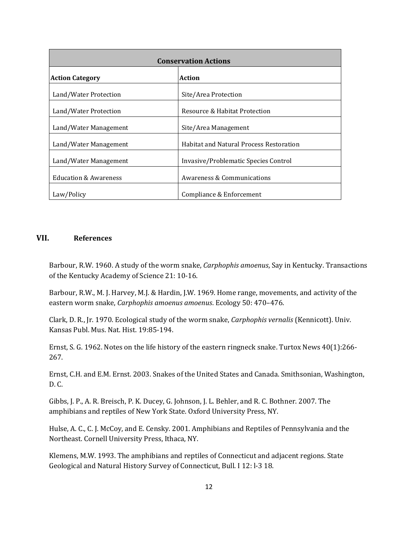| <b>Conservation Actions</b>      |                                                |  |
|----------------------------------|------------------------------------------------|--|
| <b>Action Category</b>           | Action                                         |  |
| Land/Water Protection            | Site/Area Protection                           |  |
| Land/Water Protection            | Resource & Habitat Protection                  |  |
| Land/Water Management            | Site/Area Management                           |  |
| Land/Water Management            | <b>Habitat and Natural Process Restoration</b> |  |
| Land/Water Management            | Invasive/Problematic Species Control           |  |
| <b>Education &amp; Awareness</b> | Awareness & Communications                     |  |
| Law/Policy                       | Compliance & Enforcement                       |  |

# **VII. References**

Barbour, R.W. 1960. A study of the worm snake, *Carphophis amoenus*, Say in Kentucky. Transactions of the Kentucky Academy of Science 21: 10-16.

Barbour, R.W., M. J. Harvey, M.J. & Hardin, J.W. 1969. Home range, movements, and activity of the eastern worm snake, *Carphophis amoenus amoenus*. Ecology 50: 470–476.

Clark, D. R., Jr. 1970. Ecological study of the worm snake, *Carphophis vernalis* (Kennicott). Univ. Kansas Publ. Mus. Nat. Hist. 19:85-194.

Ernst, S. G. 1962. Notes on the life history of the eastern ringneck snake. Turtox News 40(1):266- 267.

Ernst, C.H. and E.M. Ernst. 2003. Snakes of the United States and Canada. Smithsonian, Washington, D. C.

Gibbs, J. P., A. R. Breisch, P. K. Ducey, G. Johnson, J. L. Behler, and R. C. Bothner. 2007. The amphibians and reptiles of New York State. Oxford University Press, NY.

Hulse, A. C., C. J. McCoy, and E. Censky. 2001. Amphibians and Reptiles of Pennsylvania and the Northeast. Cornell University Press, Ithaca, NY.

Klemens, M.W. 1993. The amphibians and reptiles of Connecticut and adjacent regions. State Geological and Natural History Survey of Connecticut, Bull. I 12: l-3 18.